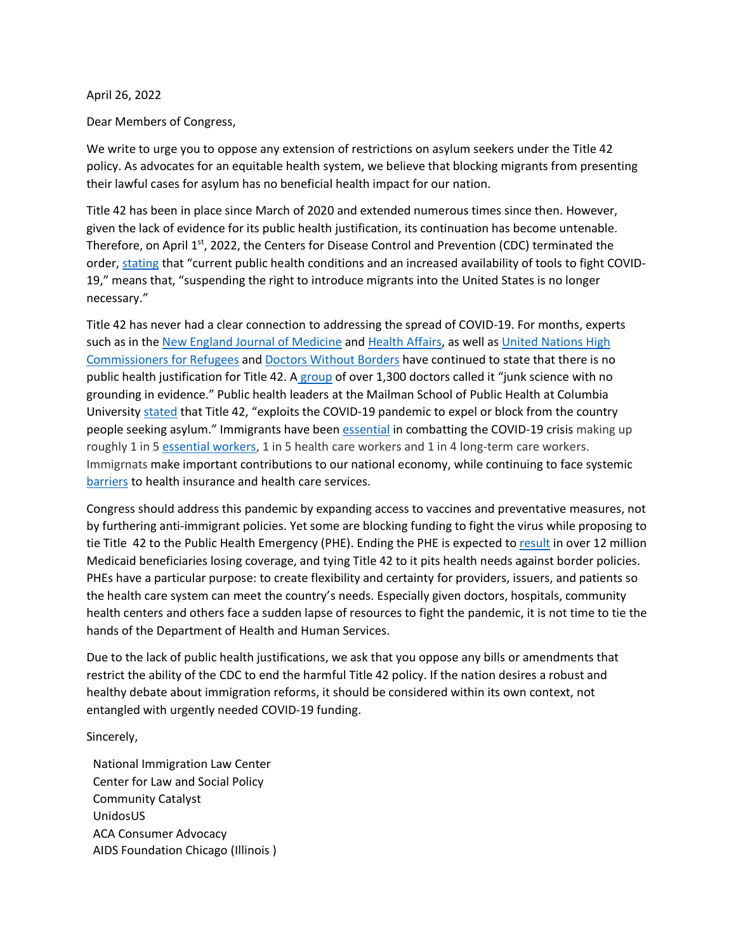## April 26, 2022

Dear Members of Congress,

We write to urge you to oppose any extension of restrictions on asylum seekers under the Title 42 policy. As advocates for an equitable health system, we believe that blocking migrants from presenting their lawful cases for asylum has no beneficial health impact for our nation.

Title 42 has been in place since March of 2020 and extended numerous times since then. However, given the lack of evidence for its public health justification, its continuation has become untenable. Therefore, on April 1<sup>st</sup>, 2022, the Centers for Disease Control and Prevention (CDC) terminated the order, [stating](https://www.cdc.gov/media/releases/2022/s0401-title-42.html) that "current public health conditions and an increased availability of tools to fight COVID-19," means that, "suspending the right to introduce migrants into the United States is no longer necessary."

Title 42 has never had a clear connection to addressing the spread of COVID-19. For months, experts such as in the [New England Journal of Medicine](https://drive.google.com/file/d/1UjWiRAHLNpR7frVGa1yRPtdgUSfz3xQa/view) and [Health Affairs,](https://www.healthaffairs.org/do/10.1377/forefront.20210712.68756/full/) as well a[s United Nations High](https://www.unhcr.org/en-us/news/press/2021/5/60a687764/statement-attributable-un-high-commissioner-refugees-filippo-grandi-need.html) [Commissioners for Refugees](https://www.unhcr.org/en-us/news/press/2021/5/60a687764/statement-attributable-un-high-commissioner-refugees-filippo-grandi-need.html) and [Doctors Without Borders](https://www.doctorswithoutborders.org/latest/us-msf-looks-forward-end-xenophobic-title-42-policy) have continued to state that there is no public health justification for Title 42. A [group](https://www.upi.com/Top_News/US/2021/10/29/medical-professionals-repeal-Title-42/7811635497505/?spt=su&or=btn_tw) of over 1,300 doctors called it "junk science with no grounding in evidence." Public health leaders at the Mailman School of Public Health at Columbia Universit[y stated](https://www.publichealth.columbia.edu/research/program-forced-migration-and-health/january-2022-letter-vaccination-southern-border) that Title 42, "exploits the COVID-19 pandemic to expel or block from the country people seeking asylum." Immigrants have been [essential](https://migrationpolicy.org/sites/default/files/publications/COVID-19-EssentialWorkers-FS_Final.pdf) in combatting the COVID-19 crisis making up roughly 1 in 5 [essential workers,](https://communitycatalyst.us11.list-manage.com/track/click?u=508949c0cbdbe878362b267e4&id=a9d792647e&e=3ca1ddaf49) 1 in 5 health care workers and 1 in 4 long-term care workers. Immigrnats make important contributions to our national economy, while continuing to face systemic [barriers](https://www.urban.org/sites/default/files/publication/103565/immigrant-families-continued-avoiding-the-safety-net-during-the-covid-19-crisis.pdf) to health insurance and health care services.

Congress should address this pandemic by expanding access to vaccines and preventative measures, not by furthering anti-immigrant policies. Yet some are blocking funding to fight the virus while proposing to tie Title 42 to the Public Health Emergency (PHE). Ending the PHE is expected to [result](https://www.urban.org/research/publication/what-will-happen-medicaid-enrollees-health-coverage-after-public-health-emergency) in over 12 million Medicaid beneficiaries losing coverage, and tying Title 42 to it pits health needs against border policies. PHEs have a particular purpose: to create flexibility and certainty for providers, issuers, and patients so the health care system can meet the country's needs. Especially given doctors, hospitals, community health centers and others face a sudden lapse of resources to fight the pandemic, it is not time to tie the hands of the Department of Health and Human Services.

Due to the lack of public health justifications, we ask that you oppose any bills or amendments that restrict the ability of the CDC to end the harmful Title 42 policy. If the nation desires a robust and healthy debate about immigration reforms, it should be considered within its own context, not entangled with urgently needed COVID-19 funding.

Sincerely,

National Immigration Law Center Center for Law and Social Policy Community Catalyst UnidosUS ACA Consumer Advocacy AIDS Foundation Chicago (Illinois )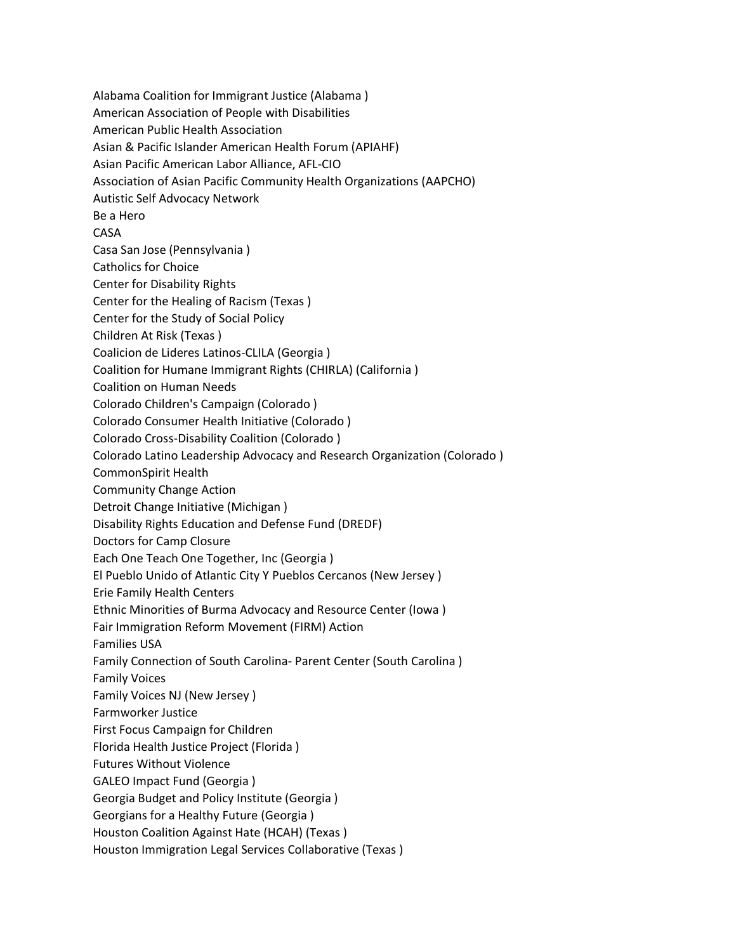Alabama Coalition for Immigrant Justice (Alabama ) American Association of People with Disabilities American Public Health Association Asian & Pacific Islander American Health Forum (APIAHF) Asian Pacific American Labor Alliance, AFL-CIO Association of Asian Pacific Community Health Organizations (AAPCHO) Autistic Self Advocacy Network Be a Hero CASA Casa San Jose (Pennsylvania ) Catholics for Choice Center for Disability Rights Center for the Healing of Racism (Texas ) Center for the Study of Social Policy Children At Risk (Texas ) Coalicion de Lideres Latinos-CLILA (Georgia ) Coalition for Humane Immigrant Rights (CHIRLA) (California ) Coalition on Human Needs Colorado Children's Campaign (Colorado ) Colorado Consumer Health Initiative (Colorado ) Colorado Cross-Disability Coalition (Colorado ) Colorado Latino Leadership Advocacy and Research Organization (Colorado ) CommonSpirit Health Community Change Action Detroit Change Initiative (Michigan ) Disability Rights Education and Defense Fund (DREDF) Doctors for Camp Closure Each One Teach One Together, Inc (Georgia ) El Pueblo Unido of Atlantic City Y Pueblos Cercanos (New Jersey ) Erie Family Health Centers Ethnic Minorities of Burma Advocacy and Resource Center (Iowa ) Fair Immigration Reform Movement (FIRM) Action Families USA Family Connection of South Carolina- Parent Center (South Carolina ) Family Voices Family Voices NJ (New Jersey ) Farmworker Justice First Focus Campaign for Children Florida Health Justice Project (Florida ) Futures Without Violence GALEO Impact Fund (Georgia ) Georgia Budget and Policy Institute (Georgia ) Georgians for a Healthy Future (Georgia ) Houston Coalition Against Hate (HCAH) (Texas ) Houston Immigration Legal Services Collaborative (Texas )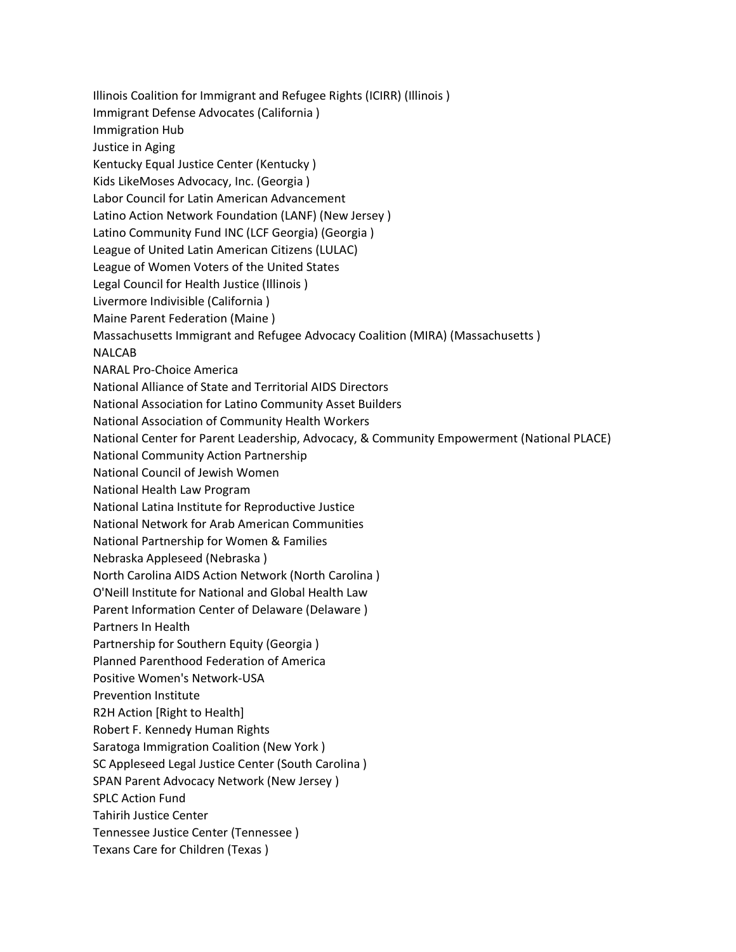Illinois Coalition for Immigrant and Refugee Rights (ICIRR) (Illinois ) Immigrant Defense Advocates (California ) Immigration Hub Justice in Aging Kentucky Equal Justice Center (Kentucky ) Kids LikeMoses Advocacy, Inc. (Georgia ) Labor Council for Latin American Advancement Latino Action Network Foundation (LANF) (New Jersey ) Latino Community Fund INC (LCF Georgia) (Georgia ) League of United Latin American Citizens (LULAC) League of Women Voters of the United States Legal Council for Health Justice (Illinois ) Livermore Indivisible (California ) Maine Parent Federation (Maine ) Massachusetts Immigrant and Refugee Advocacy Coalition (MIRA) (Massachusetts ) NALCAB NARAL Pro-Choice America National Alliance of State and Territorial AIDS Directors National Association for Latino Community Asset Builders National Association of Community Health Workers National Center for Parent Leadership, Advocacy, & Community Empowerment (National PLACE) National Community Action Partnership National Council of Jewish Women National Health Law Program National Latina Institute for Reproductive Justice National Network for Arab American Communities National Partnership for Women & Families Nebraska Appleseed (Nebraska ) North Carolina AIDS Action Network (North Carolina ) O'Neill Institute for National and Global Health Law Parent Information Center of Delaware (Delaware ) Partners In Health Partnership for Southern Equity (Georgia ) Planned Parenthood Federation of America Positive Women's Network-USA Prevention Institute R2H Action [Right to Health] Robert F. Kennedy Human Rights Saratoga Immigration Coalition (New York ) SC Appleseed Legal Justice Center (South Carolina ) SPAN Parent Advocacy Network (New Jersey ) SPLC Action Fund Tahirih Justice Center Tennessee Justice Center (Tennessee ) Texans Care for Children (Texas )